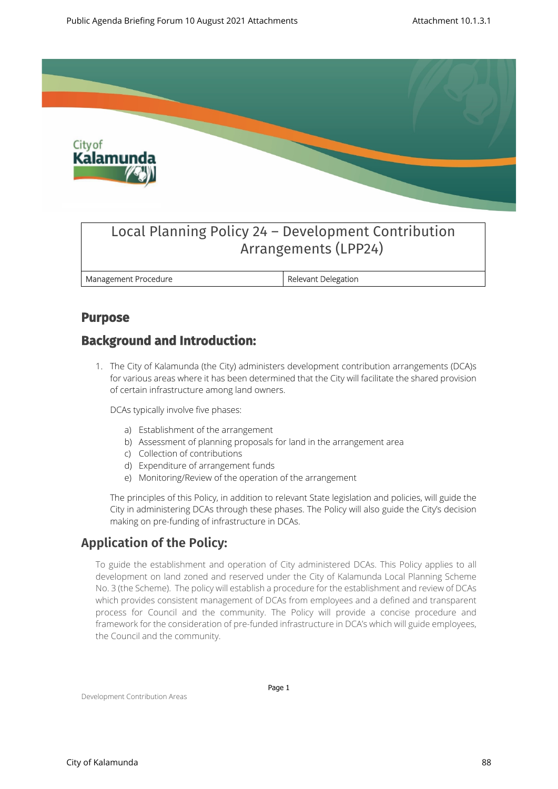

# Local Planning Policy 24 – Development Contribution Arrangements (LPP24)

**Management Procedure Relevant Delegation** 

### **Purpose**

# **Background and Introduction:**

1. The City of Kalamunda (the City) administers development contribution arrangements (DCA)s for various areas where it has been determined that the City will facilitate the shared provision of certain infrastructure among land owners.

DCAs typically involve five phases:

- a) Establishment of the arrangement
- b) Assessment of planning proposals for land in the arrangement area
- c) Collection of contributions
- d) Expenditure of arrangement funds
- e) Monitoring/Review of the operation of the arrangement

The principles of this Policy, in addition to relevant State legislation and policies, will guide the City in administering DCAs through these phases. The Policy will also guide the City's decision making on pre-funding of infrastructure in DCAs.

# **Application of the Policy:**

To guide the establishment and operation of City administered DCAs. This Policy applies to all development on land zoned and reserved under the City of Kalamunda Local Planning Scheme No. 3 (the Scheme). The policy will establish a procedure for the establishment and review of DCAs which provides consistent management of DCAs from employees and a defined and transparent process for Council and the community. The Policy will provide a concise procedure and framework for the consideration of pre-funded infrastructure in DCA's which will guide employees, the Council and the community.

Development Contribution Areas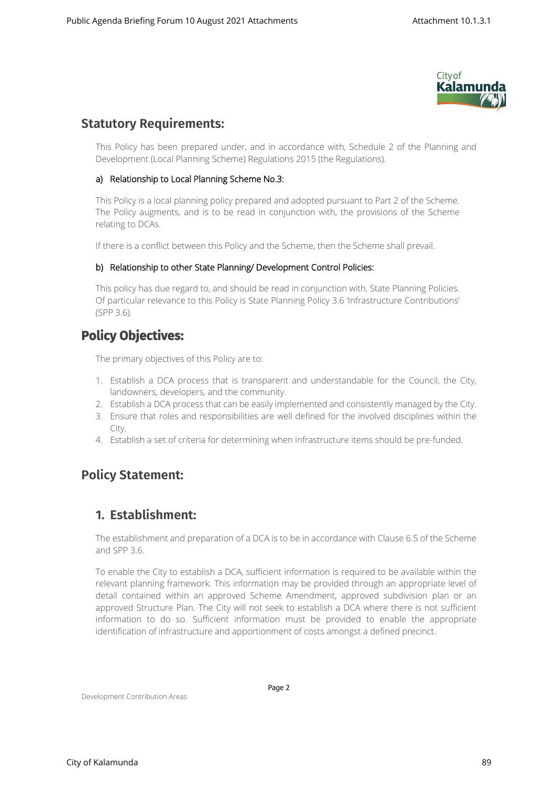

### **Statutory Requirements:**

This Policy has been prepared under, and in accordance with, Schedule 2 of the Planning and Development (Local Planning Scheme) Regulations 2015 (the Regulations).

#### **a) Relationship to Local Planning Scheme No.3:**

This Policy is a local planning policy prepared and adopted pursuant to Part 2 of the Scheme. The Policy augments, and is to be read in conjunction with, the provisions of the Scheme relating to DCAs.

If there is a conflict between this Policy and the Scheme, then the Scheme shall prevail.

#### **b) Relationship to other State Planning/ Development Control Policies:**

This policy has due regard to, and should be read in conjunction with, State Planning Policies. Of particular relevance to this Policy is State Planning Policy 3.6 'Infrastructure Contributions' (SPP 3.6).

## **Policy Objectives:**

The primary objectives of this Policy are to:

- 1. Establish a DCA process that is transparent and understandable for the Council, the City, landowners, developers, and the community.
- 2. Establish a DCA process that can be easily implemented and consistently managed by the City.
- 3. Ensure that roles and responsibilities are well defined for the involved disciplines within the City.
- 4. Establish a set of criteria for determining when infrastructure items should be pre-funded.

# **Policy Statement:**

### **1. Establishment:**

The establishment and preparation of a DCA is to be in accordance with Clause 6.5 of the Scheme and SPP 3.6.

To enable the City to establish a DCA, sufficient information is required to be available within the relevant planning framework. This information may be provided through an appropriate level of detail contained within an approved Scheme Amendment, approved subdivision plan or an approved Structure Plan. The City will not seek to establish a DCA where there is not sufficient information to do so. Sufficient information must be provided to enable the appropriate identification of infrastructure and apportionment of costs amongst a defined precinct.

Development Contribution Areas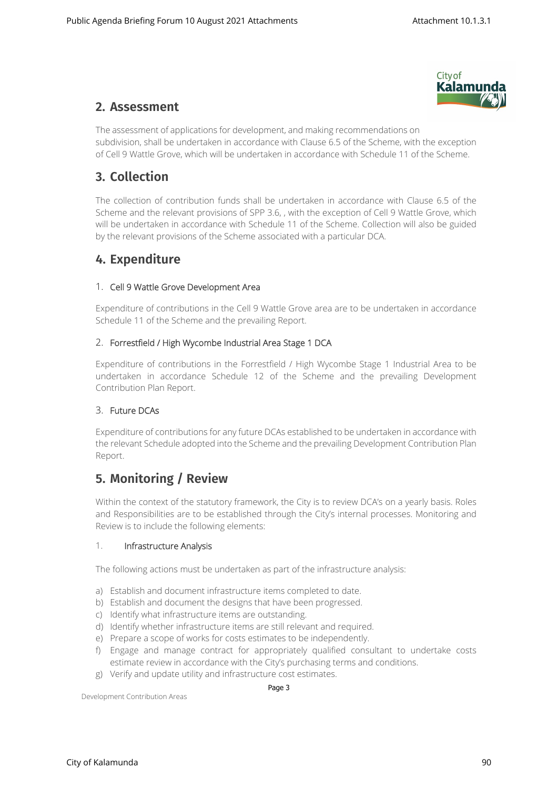

## **2. Assessment**

The assessment of applications for development, and making recommendations on subdivision, shall be undertaken in accordance with Clause 6.5 of the Scheme, with the exception of Cell 9 Wattle Grove, which will be undertaken in accordance with Schedule 11 of the Scheme.

# **3. Collection**

The collection of contribution funds shall be undertaken in accordance with Clause 6.5 of the Scheme and the relevant provisions of SPP 3.6, , with the exception of Cell 9 Wattle Grove, which will be undertaken in accordance with Schedule 11 of the Scheme. Collection will also be guided by the relevant provisions of the Scheme associated with a particular DCA.

# **4. Expenditure**

#### 1. **Cell 9 Wattle Grove Development Area**

Expenditure of contributions in the Cell 9 Wattle Grove area are to be undertaken in accordance Schedule 11 of the Scheme and the prevailing Report.

#### 2. **Forrestfield / High Wycombe Industrial Area Stage 1 DCA**

Expenditure of contributions in the Forrestfield / High Wycombe Stage 1 Industrial Area to be undertaken in accordance Schedule 12 of the Scheme and the prevailing Development Contribution Plan Report.

#### 3. **Future DCAs**

Expenditure of contributions for any future DCAs established to be undertaken in accordance with the relevant Schedule adopted into the Scheme and the prevailing Development Contribution Plan Report.

# **5. Monitoring / Review**

Within the context of the statutory framework, the City is to review DCA's on a yearly basis. Roles and Responsibilities are to be established through the City's internal processes. Monitoring and Review is to include the following elements:

#### 1. **Infrastructure Analysis**

The following actions must be undertaken as part of the infrastructure analysis:

- a) Establish and document infrastructure items completed to date.
- b) Establish and document the designs that have been progressed.
- c) Identify what infrastructure items are outstanding.
- d) Identify whether infrastructure items are still relevant and required.
- e) Prepare a scope of works for costs estimates to be independently.
- f) Engage and manage contract for appropriately qualified consultant to undertake costs estimate review in accordance with the City's purchasing terms and conditions.
- g) Verify and update utility and infrastructure cost estimates.

Development Contribution Areas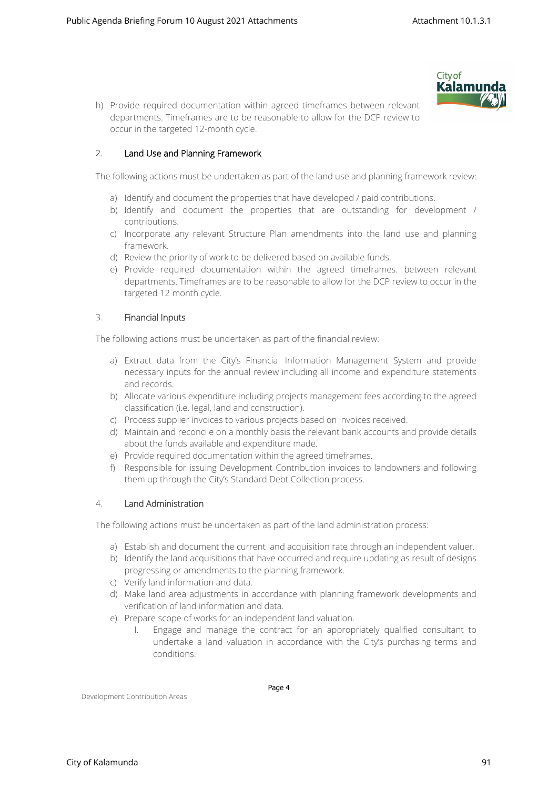

h) Provide required documentation within agreed timeframes between relevant departments. Timeframes are to be reasonable to allow for the DCP review to occur in the targeted 12-month cycle.

#### 2. **Land Use and Planning Framework**

The following actions must be undertaken as part of the land use and planning framework review:

- a) Identify and document the properties that have developed / paid contributions.
- b) Identify and document the properties that are outstanding for development / contributions.
- c) Incorporate any relevant Structure Plan amendments into the land use and planning framework.
- d) Review the priority of work to be delivered based on available funds.
- e) Provide required documentation within the agreed timeframes. between relevant departments. Timeframes are to be reasonable to allow for the DCP review to occur in the targeted 12 month cycle.

#### 3. **Financial Inputs**

The following actions must be undertaken as part of the financial review:

- a) Extract data from the City's Financial Information Management System and provide necessary inputs for the annual review including all income and expenditure statements and records.
- b) Allocate various expenditure including projects management fees according to the agreed classification (i.e. legal, land and construction).
- c) Process supplier invoices to various projects based on invoices received.
- d) Maintain and reconcile on a monthly basis the relevant bank accounts and provide details about the funds available and expenditure made.
- e) Provide required documentation within the agreed timeframes.
- f) Responsible for issuing Development Contribution invoices to landowners and following them up through the City's Standard Debt Collection process.

#### 4. **Land Administration**

The following actions must be undertaken as part of the land administration process:

- a) Establish and document the current land acquisition rate through an independent valuer.
- b) Identify the land acquisitions that have occurred and require updating as result of designs progressing or amendments to the planning framework.
- c) Verify land information and data.
- d) Make land area adjustments in accordance with planning framework developments and verification of land information and data.
- e) Prepare scope of works for an independent land valuation.
	- I. Engage and manage the contract for an appropriately qualified consultant to undertake a land valuation in accordance with the City's purchasing terms and conditions.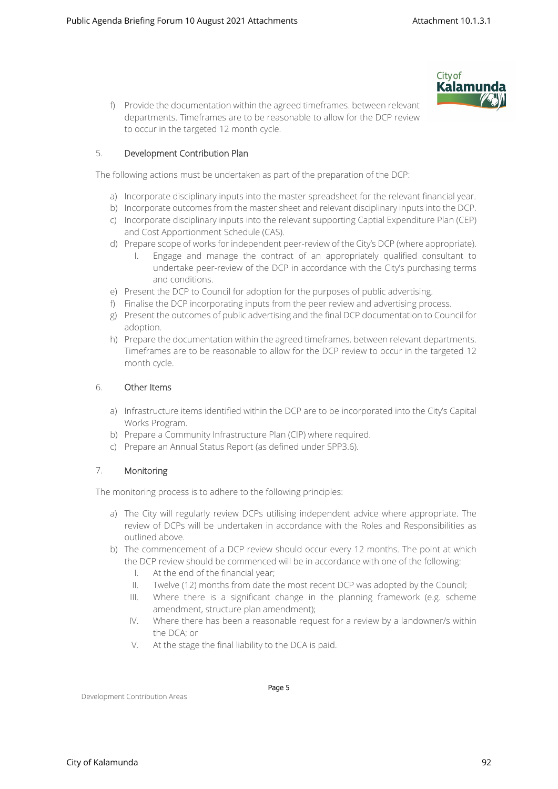

f) Provide the documentation within the agreed timeframes. between relevant departments. Timeframes are to be reasonable to allow for the DCP review to occur in the targeted 12 month cycle.

#### 5. **Development Contribution Plan**

The following actions must be undertaken as part of the preparation of the DCP:

- a) Incorporate disciplinary inputs into the master spreadsheet for the relevant financial year.
- b) Incorporate outcomes from the master sheet and relevant disciplinary inputs into the DCP.
- c) Incorporate disciplinary inputs into the relevant supporting Captial Expenditure Plan (CEP) and Cost Apportionment Schedule (CAS).
- d) Prepare scope of works for independent peer-review of the City's DCP (where appropriate).
	- I. Engage and manage the contract of an appropriately qualified consultant to undertake peer-review of the DCP in accordance with the City's purchasing terms and conditions.
- e) Present the DCP to Council for adoption for the purposes of public advertising.
- f) Finalise the DCP incorporating inputs from the peer review and advertising process.
- g) Present the outcomes of public advertising and the final DCP documentation to Council for adoption.
- h) Prepare the documentation within the agreed timeframes. between relevant departments. Timeframes are to be reasonable to allow for the DCP review to occur in the targeted 12 month cycle.

#### 6. **Other Items**

- a) Infrastructure items identified within the DCP are to be incorporated into the City's Capital Works Program.
- b) Prepare a Community Infrastructure Plan (CIP) where required.
- c) Prepare an Annual Status Report (as defined under SPP3.6).

#### 7. **Monitoring**

The monitoring process is to adhere to the following principles:

- a) The City will regularly review DCPs utilising independent advice where appropriate. The review of DCPs will be undertaken in accordance with the Roles and Responsibilities as outlined above.
- b) The commencement of a DCP review should occur every 12 months. The point at which the DCP review should be commenced will be in accordance with one of the following:
	- I. At the end of the financial year;
	- II. Twelve (12) months from date the most recent DCP was adopted by the Council;
	- III. Where there is a significant change in the planning framework (e.g. scheme amendment, structure plan amendment);
	- IV. Where there has been a reasonable request for a review by a landowner/s within the DCA; or
	- V. At the stage the final liability to the DCA is paid.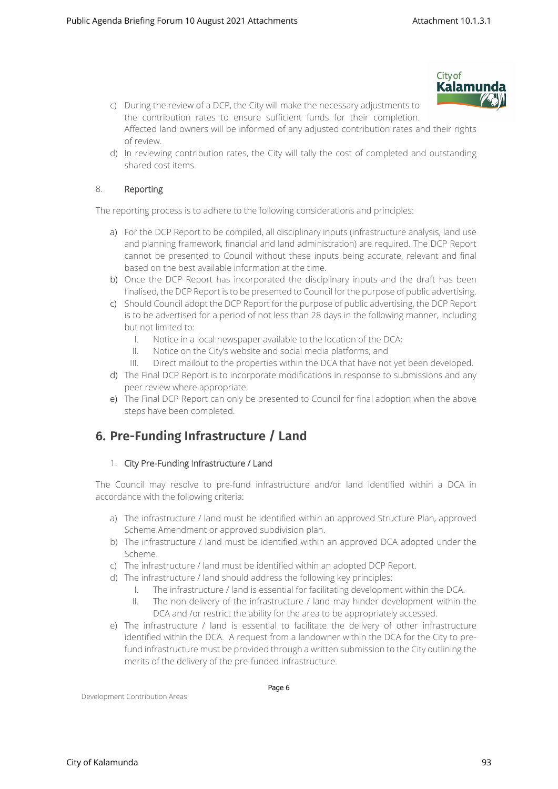

- c) During the review of a DCP, the City will make the necessary adjustments to the contribution rates to ensure sufficient funds for their completion. Affected land owners will be informed of any adjusted contribution rates and their rights of review.
- d) In reviewing contribution rates, the City will tally the cost of completed and outstanding shared cost items.

#### 8. **Reporting**

The reporting process is to adhere to the following considerations and principles:

- a) For the DCP Report to be compiled, all disciplinary inputs (infrastructure analysis, land use and planning framework, financial and land administration) are required. The DCP Report cannot be presented to Council without these inputs being accurate, relevant and final based on the best available information at the time.
- b) Once the DCP Report has incorporated the disciplinary inputs and the draft has been finalised, the DCP Report is to be presented to Council for the purpose of public advertising.
- c) Should Council adopt the DCP Report for the purpose of public advertising, the DCP Report is to be advertised for a period of not less than 28 days in the following manner, including but not limited to:
	- I. Notice in a local newspaper available to the location of the DCA;
	- II. Notice on the City's website and social media platforms; and
	- III. Direct mailout to the properties within the DCA that have not yet been developed.
- d) The Final DCP Report is to incorporate modifications in response to submissions and any peer review where appropriate.
- e) The Final DCP Report can only be presented to Council for final adoption when the above steps have been completed.

# **6. Pre-Funding Infrastructure / Land**

#### 1. **City Pre-Funding Infrastructure / Land**

The Council may resolve to pre-fund infrastructure and/or land identified within a DCA in accordance with the following criteria:

- a) The infrastructure / land must be identified within an approved Structure Plan, approved Scheme Amendment or approved subdivision plan.
- b) The infrastructure / land must be identified within an approved DCA adopted under the Scheme.
- c) The infrastructure / land must be identified within an adopted DCP Report.
- d) The infrastructure / land should address the following key principles:
	- I. The infrastructure / land is essential for facilitating development within the DCA.
	- II. The non-delivery of the infrastructure / land may hinder development within the DCA and /or restrict the ability for the area to be appropriately accessed.
- e) The infrastructure / land is essential to facilitate the delivery of other infrastructure identified within the DCA. A request from a landowner within the DCA for the City to prefund infrastructure must be provided through a written submission to the City outlining the merits of the delivery of the pre-funded infrastructure.

Development Contribution Areas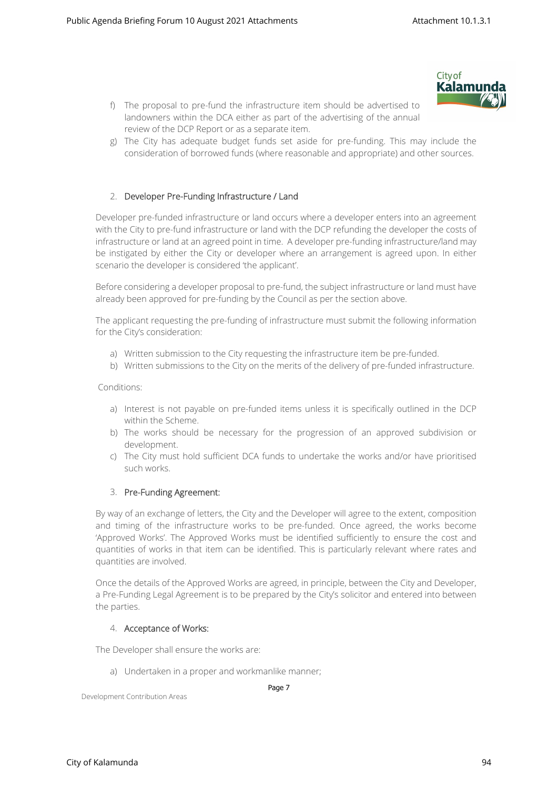

- f) The proposal to pre-fund the infrastructure item should be advertised to landowners within the DCA either as part of the advertising of the annual review of the DCP Report or as a separate item.
- g) The City has adequate budget funds set aside for pre-funding. This may include the consideration of borrowed funds (where reasonable and appropriate) and other sources.

#### 2. **Developer Pre-Funding Infrastructure / Land**

Developer pre-funded infrastructure or land occurs where a developer enters into an agreement with the City to pre-fund infrastructure or land with the DCP refunding the developer the costs of infrastructure or land at an agreed point in time. A developer pre-funding infrastructure/land may be instigated by either the City or developer where an arrangement is agreed upon. In either scenario the developer is considered 'the applicant'.

Before considering a developer proposal to pre-fund, the subject infrastructure or land must have already been approved for pre-funding by the Council as per the section above.

The applicant requesting the pre-funding of infrastructure must submit the following information for the City's consideration:

- a) Written submission to the City requesting the infrastructure item be pre-funded.
- b) Written submissions to the City on the merits of the delivery of pre-funded infrastructure.

Conditions:

- a) Interest is not payable on pre-funded items unless it is specifically outlined in the DCP within the Scheme.
- b) The works should be necessary for the progression of an approved subdivision or development.
- c) The City must hold sufficient DCA funds to undertake the works and/or have prioritised such works.

#### 3. **Pre-Funding Agreement:**

By way of an exchange of letters, the City and the Developer will agree to the extent, composition and timing of the infrastructure works to be pre-funded. Once agreed, the works become 'Approved Works'. The Approved Works must be identified sufficiently to ensure the cost and quantities of works in that item can be identified. This is particularly relevant where rates and quantities are involved.

Once the details of the Approved Works are agreed, in principle, between the City and Developer, a Pre-Funding Legal Agreement is to be prepared by the City's solicitor and entered into between the parties.

#### 4. **Acceptance of Works:**

The Developer shall ensure the works are:

a) Undertaken in a proper and workmanlike manner;

Page 7

Development Contribution Areas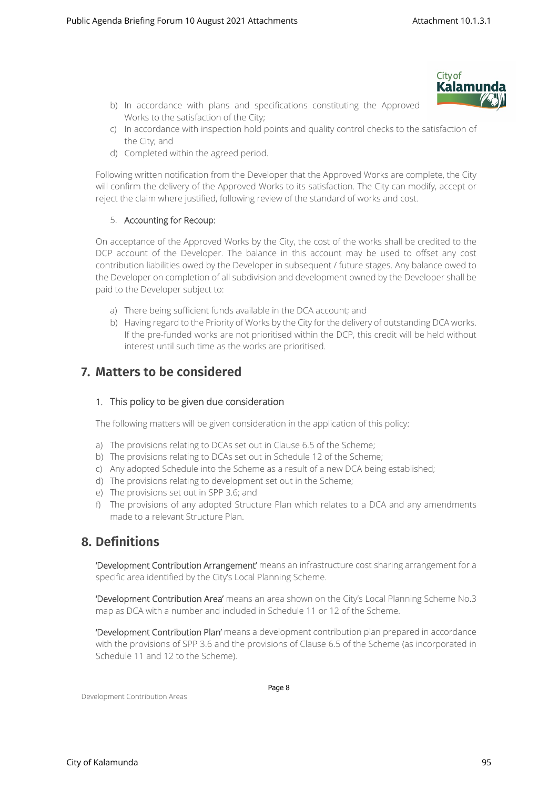- **City of** Kalamund
- b) In accordance with plans and specifications constituting the Approved Works to the satisfaction of the City;
- c) In accordance with inspection hold points and quality control checks to the satisfaction of the City; and
- d) Completed within the agreed period.

Following written notification from the Developer that the Approved Works are complete, the City will confirm the delivery of the Approved Works to its satisfaction. The City can modify, accept or reject the claim where justified, following review of the standard of works and cost.

#### 5. **Accounting for Recoup:**

On acceptance of the Approved Works by the City, the cost of the works shall be credited to the DCP account of the Developer. The balance in this account may be used to offset any cost contribution liabilities owed by the Developer in subsequent / future stages. Any balance owed to the Developer on completion of all subdivision and development owned by the Developer shall be paid to the Developer subject to:

- a) There being sufficient funds available in the DCA account; and
- b) Having regard to the Priority of Works by the City for the delivery of outstanding DCA works. If the pre-funded works are not prioritised within the DCP, this credit will be held without interest until such time as the works are prioritised.

## **7. Matters to be considered**

#### **1. This policy to be given due consideration**

The following matters will be given consideration in the application of this policy:

- a) The provisions relating to DCAs set out in Clause 6.5 of the Scheme;
- b) The provisions relating to DCAs set out in Schedule 12 of the Scheme;
- c) Any adopted Schedule into the Scheme as a result of a new DCA being established;
- d) The provisions relating to development set out in the Scheme;
- e) The provisions set out in SPP 3.6; and
- f) The provisions of any adopted Structure Plan which relates to a DCA and any amendments made to a relevant Structure Plan.

## **8. Definitions**

**'Development Contribution Arrangement'** means an infrastructure cost sharing arrangement for a specific area identified by the City's Local Planning Scheme.

**'Development Contribution Area'** means an area shown on the City's Local Planning Scheme No.3 map as DCA with a number and included in Schedule 11 or 12 of the Scheme.

**'Development Contribution Plan'** means a development contribution plan prepared in accordance with the provisions of SPP 3.6 and the provisions of Clause 6.5 of the Scheme (as incorporated in Schedule 11 and 12 to the Scheme).

Development Contribution Areas